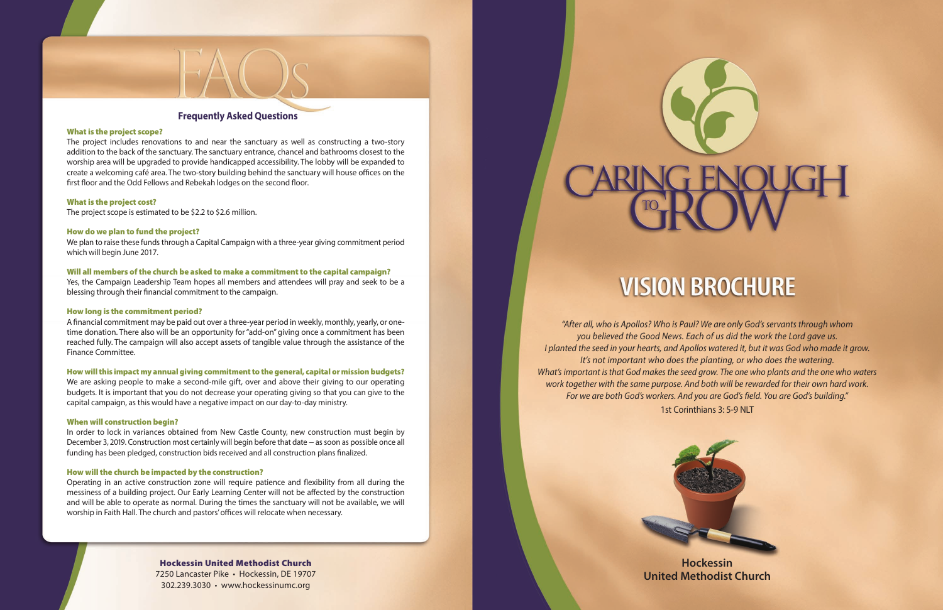**Hockessin United Methodist Church**

## Hockessin United Methodist Church

7250 Lancaster Pike • Hockessin, DE 19707 302.239.3030 • www.hockessinumc.org

#### What is the project scope?

The project includes renovations to and near the sanctuary as well as constructing a two-story addition to the back of the sanctuary. The sanctuary entrance, chancel and bathrooms closest to the worship area will be upgraded to provide handicapped accessibility. The lobby will be expanded to create a welcoming café area. The two-story building behind the sanctuary will house offices on the first floor and the Odd Fellows and Rebekah lodges on the second floor.

#### What is the project cost?

The project scope is estimated to be \$2.2 to \$2.6 million.

#### How do we plan to fund the project?

We plan to raise these funds through a Capital Campaign with a three-year giving commitment period which will begin June 2017.

#### Will all members of the church be asked to make a commitment to the capital campaign?

Yes, the Campaign Leadership Team hopes all members and attendees will pray and seek to be a blessing through their financial commitment to the campaign.

#### How long is the commitment period?

A financial commitment may be paid out over a three-year period in weekly, monthly, yearly, or onetime donation. There also will be an opportunity for "add-on" giving once a commitment has been reached fully. The campaign will also accept assets of tangible value through the assistance of the Finance Committee.

#### How will this impact my annual giving commitment to the general, capital or mission budgets?

We are asking people to make a second-mile gift, over and above their giving to our operating budgets. It is important that you do not decrease your operating giving so that you can give to the capital campaign, as this would have a negative impact on our day-to-day ministry.

#### When will construction begin?

In order to lock in variances obtained from New Castle County, new construction must begin by December 3, 2019. Construction most certainly will begin before that date – as soon as possible once all funding has been pledged, construction bids received and all construction plans finalized.

### How will the church be impacted by the construction?

Operating in an active construction zone will require patience and flexibility from all during the messiness of a building project. Our Early Learning Center will not be affected by the construction and will be able to operate as normal. During the times the sanctuary will not be available, we will worship in Faith Hall. The church and pastors' offices will relocate when necessary.

# **Frequently Asked Questions**

*"After all, who is Apollos? Who is Paul? We are only God's servants through whom you believed the Good News. Each of us did the work the Lord gave us. I planted the seed in your hearts, and Apollos watered it, but it was God who made it grow. It's not important who does the planting, or who does the watering. What's important is that God makes the seed grow. The one who plants and the one who waters work together with the same purpose. And both will be rewarded for their own hard work. For we are both God's workers. And you are God's field. You are God's building."* 1st Corinthians 3: 5-9 NLT





# **VISION BROCHURE**